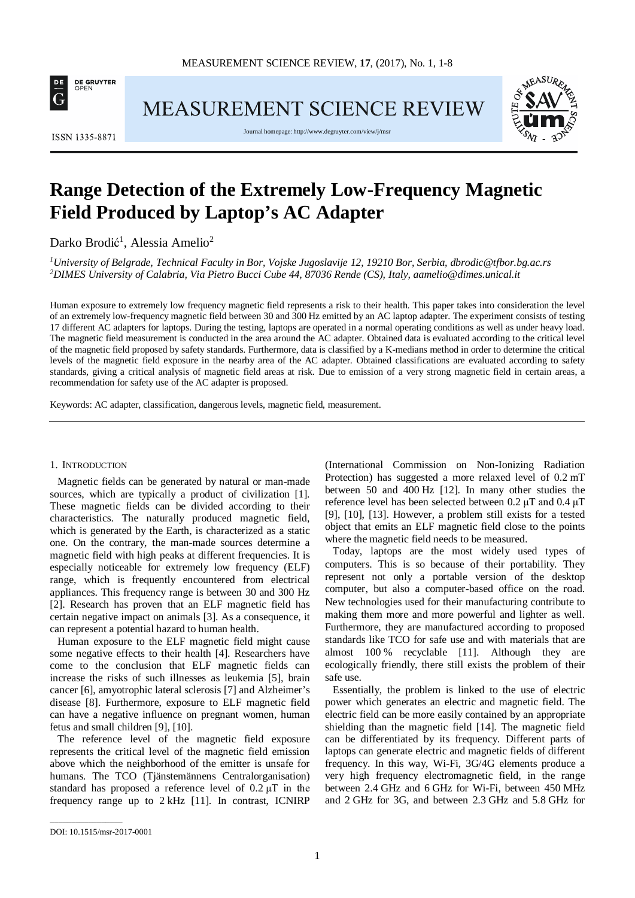

MEASUREMENT SCIENCE REVIEW



ISSN 1335-8871

Journal homepage[: http://www.degruyter.com/view/j/msr](http://www.degruyter.com/view/j/msr)

# **Range Detection of the Extremely Low-Frequency Magnetic Field Produced by Laptop's AC Adapter**

Darko Brodić<sup>1</sup>, Alessia Amelio<sup>2</sup>

*1 University of Belgrade, Technical Faculty in Bor, Vojske Jugoslavije 12, 19210 Bor, Serbia, dbrodic@tfbor.bg.ac.rs 2 DIMES University of Calabria, Via Pietro Bucci Cube 44, 87036 Rende (CS), Italy, aamelio@dimes.unical.it*

Human exposure to extremely low frequency magnetic field represents a risk to their health. This paper takes into consideration the level of an extremely low-frequency magnetic field between 30 and 300 Hz emitted by an AC laptop adapter. The experiment consists of testing 17 different AC adapters for laptops. During the testing, laptops are operated in a normal operating conditions as well as under heavy load. The magnetic field measurement is conducted in the area around the AC adapter. Obtained data is evaluated according to the critical level of the magnetic field proposed by safety standards. Furthermore, data is classified by a K-medians method in order to determine the critical levels of the magnetic field exposure in the nearby area of the AC adapter. Obtained classifications are evaluated according to safety standards, giving a critical analysis of magnetic field areas at risk. Due to emission of a very strong magnetic field in certain areas, a recommendation for safety use of the AC adapter is proposed.

Keywords: AC adapter, classification, dangerous levels, magnetic field, measurement.

# 1. INTRODUCTION

Magnetic fields can be generated by natural or man-made sources, which are typically a product of civilization [1]. These magnetic fields can be divided according to their characteristics. The naturally produced magnetic field, which is generated by the Earth, is characterized as a static one. On the contrary, the man-made sources determine a magnetic field with high peaks at different frequencies. It is especially noticeable for extremely low frequency (ELF) range, which is frequently encountered from electrical appliances. This frequency range is between 30 and 300 Hz [2]. Research has proven that an ELF magnetic field has certain negative impact on animals [3]. As a consequence, it can represent a potential hazard to human health.

Human exposure to the ELF magnetic field might cause some negative effects to their health [4]. Researchers have come to the conclusion that ELF magnetic fields can increase the risks of such illnesses as leukemia [5], brain cancer [6], amyotrophic lateral sclerosis [7] and Alzheimer's disease [8]. Furthermore, exposure to ELF magnetic field can have a negative influence on pregnant women, human fetus and small children [9], [10].

The reference level of the magnetic field exposure represents the critical level of the magnetic field emission above which the neighborhood of the emitter is unsafe for humans. The TCO (Tjänstemännens Centralorganisation) standard has proposed a reference level of  $0.2 \mu$ T in the frequency range up to 2 kHz [11]. In contrast, ICNIRP

(International Commission on Non-Ionizing Radiation Protection) has suggested a more relaxed level of 0.2 mT between 50 and 400 Hz [12]. In many other studies the reference level has been selected between 0.2 μT and 0.4 μT [9], [10], [13]. However, a problem still exists for a tested object that emits an ELF magnetic field close to the points where the magnetic field needs to be measured.

Today, laptops are the most widely used types of computers. This is so because of their portability. They represent not only a portable version of the desktop computer, but also a computer-based office on the road. New technologies used for their manufacturing contribute to making them more and more powerful and lighter as well. Furthermore, they are manufactured according to proposed standards like TCO for safe use and with materials that are almost 100 % recyclable [11]. Although they are ecologically friendly, there still exists the problem of their safe use.

Essentially, the problem is linked to the use of electric power which generates an electric and magnetic field. The electric field can be more easily contained by an appropriate shielding than the magnetic field [14]. The magnetic field can be differentiated by its frequency. Different parts of laptops can generate electric and magnetic fields of different frequency. In this way, Wi-Fi, 3G/4G elements produce a very high frequency electromagnetic field, in the range between 2.4 GHz and 6 GHz for Wi-Fi, between 450 MHz and 2 GHz for 3G, and between 2.3 GHz and 5.8 GHz for

\_\_\_\_\_\_\_\_\_\_\_\_\_\_\_\_\_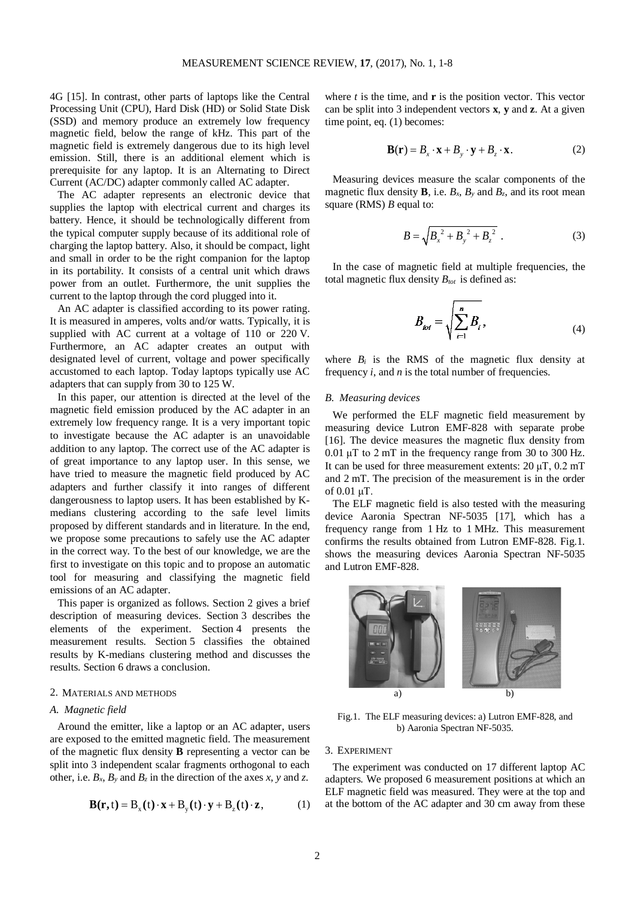4G [15]. In contrast, other parts of laptops like the Central Processing Unit (CPU), Hard Disk (HD) or Solid State Disk (SSD) and memory produce an extremely low frequency magnetic field, below the range of kHz. This part of the magnetic field is extremely dangerous due to its high level emission. Still, there is an additional element which is prerequisite for any laptop. It is an Alternating to Direct Current (AC/DC) adapter commonly called AC adapter.

The AC adapter represents an electronic device that supplies the laptop with electrical current and charges its battery. Hence, it should be technologically different from the typical computer supply because of its additional role of charging the laptop battery. Also, it should be compact, light and small in order to be the right companion for the laptop in its portability. It consists of a central unit which draws power from an outlet. Furthermore, the unit supplies the current to the laptop through the cord plugged into it.

An AC adapter is classified according to its power rating. It is measured in amperes, volts and/or watts. Typically, it is supplied with AC current at a voltage of 110 or 220 V. Furthermore, an AC adapter creates an output with designated level of current, voltage and power specifically accustomed to each laptop. Today laptops typically use AC adapters that can supply from 30 to 125 W.

In this paper, our attention is directed at the level of the magnetic field emission produced by the AC adapter in an extremely low frequency range. It is a very important topic to investigate because the AC adapter is an unavoidable addition to any laptop. The correct use of the AC adapter is of great importance to any laptop user. In this sense, we have tried to measure the magnetic field produced by AC adapters and further classify it into ranges of different dangerousness to laptop users. It has been established by Kmedians clustering according to the safe level limits proposed by different standards and in literature. In the end, we propose some precautions to safely use the AC adapter in the correct way. To the best of our knowledge, we are the first to investigate on this topic and to propose an automatic tool for measuring and classifying the magnetic field emissions of an AC adapter.

This paper is organized as follows. Section 2 gives a brief description of measuring devices. Section 3 describes the elements of the experiment. Section 4 presents the measurement results. Section 5 classifies the obtained results by K-medians clustering method and discusses the results. Section 6 draws a conclusion.

## 2. MATERIALS AND METHODS

# *A. Magnetic field*

Around the emitter, like a laptop or an AC adapter, users are exposed to the emitted magnetic field. The measurement of the magnetic flux density **B** representing a vector can be split into 3 independent scalar fragments orthogonal to each other, i.e.  $B_x$ ,  $B_y$  and  $B_z$  in the direction of the axes *x*, *y* and *z*.

$$
\mathbf{B}(\mathbf{r},t) = B_x(t) \cdot \mathbf{x} + B_y(t) \cdot \mathbf{y} + B_z(t) \cdot \mathbf{z},
$$
 (1)

where  $t$  is the time, and  $\bf{r}$  is the position vector. This vector can be split into 3 independent vectors **x**, **y** and **z**. At a given time point, eq. (1) becomes:

$$
\mathbf{B}(\mathbf{r}) = B_x \cdot \mathbf{x} + B_y \cdot \mathbf{y} + B_z \cdot \mathbf{x}.
$$
 (2)

Measuring devices measure the scalar components of the magnetic flux density **B**, i.e.  $B_x$ ,  $B_y$  and  $B_z$ , and its root mean square (RMS) *B* equal to:

$$
B = \sqrt{B_x^2 + B_y^2 + B_z^2}
$$
 (3)

In the case of magnetic field at multiple frequencies, the total magnetic flux density  $B_{tot}$  is defined as:

$$
B_{tot} = \sqrt{\sum_{i=1}^{n} B_i}, \tag{4}
$$

where  $B_i$  is the RMS of the magnetic flux density at frequency *i*, and *n* is the total number of frequencies.

#### *B. Measuring devices*

We performed the ELF magnetic field measurement by measuring device Lutron EMF-828 with separate probe [16]. The device measures the magnetic flux density from 0.01 μT to 2 mT in the frequency range from 30 to 300 Hz. It can be used for three measurement extents: 20 μT, 0.2 mT and 2 mT. The precision of the measurement is in the order of 0.01 μT.

The ELF magnetic field is also tested with the measuring device Aaronia Spectran NF-5035 [17], which has a frequency range from 1 Hz to 1 MHz. This measurement confirms the results obtained from Lutron EMF-828. Fig.1. shows the measuring devices Aaronia Spectran NF-5035 and Lutron EMF-828.



Fig.1. The ELF measuring devices: a) Lutron EMF-828, and b) Aaronia Spectran NF-5035.

# 3. EXPERIMENT

The experiment was conducted on 17 different laptop AC adapters. We proposed 6 measurement positions at which an ELF magnetic field was measured. They were at the top and at the bottom of the AC adapter and 30 cm away from these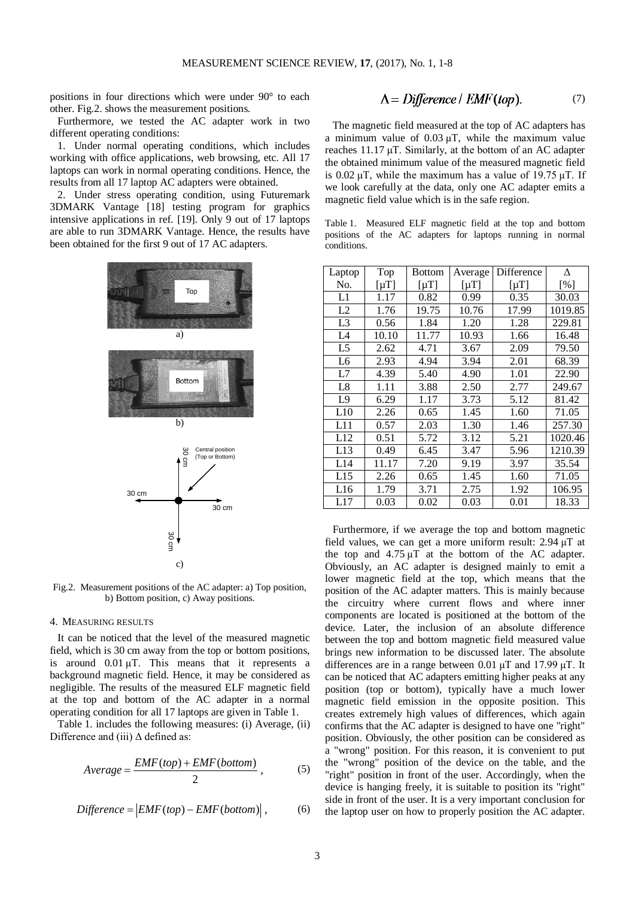positions in four directions which were under 90° to each other. Fig.2. shows the measurement positions.

Furthermore, we tested the AC adapter work in two different operating conditions:

1. Under normal operating conditions, which includes working with office applications, web browsing, etc. All 17 laptops can work in normal operating conditions. Hence, the results from all 17 laptop AC adapters were obtained.

2. Under stress operating condition, using Futuremark 3DMARK Vantage [18] testing program for graphics intensive applications in ref. [19]. Only 9 out of 17 laptops are able to run 3DMARK Vantage. Hence, the results have been obtained for the first 9 out of 17 AC adapters.



Fig.2. Measurement positions of the AC adapter: a) Top position, b) Bottom position, c) Away positions.

#### 4. MEASURING RESULTS

It can be noticed that the level of the measured magnetic field, which is 30 cm away from the top or bottom positions, is around 0.01 μT. This means that it represents a background magnetic field. Hence, it may be considered as negligible. The results of the measured ELF magnetic field at the top and bottom of the AC adapter in a normal operating condition for all 17 laptops are given in Table 1.

Table 1. includes the following measures: (i) Average, (ii) Difference and (iii)  $\Delta$  defined as:

$$
Average = \frac{EMF(top) + EMF(bottom)}{2}, \qquad (5)
$$

$$
Difference = |EMF(top) - EMF(bottom)|,
$$
 (6)

$$
\Delta = Difference / EMF(top). \tag{7}
$$

The magnetic field measured at the top of AC adapters has a minimum value of 0.03 μT, while the maximum value reaches 11.17 μT. Similarly, at the bottom of an AC adapter the obtained minimum value of the measured magnetic field is 0.02  $\mu$ T, while the maximum has a value of 19.75  $\mu$ T. If we look carefully at the data, only one AC adapter emits a magnetic field value which is in the safe region.

Table 1. Measured ELF magnetic field at the top and bottom positions of the AC adapters for laptops running in normal conditions.

| Laptop         | Top      | <b>Bottom</b> | Average  | Difference | Δ       |
|----------------|----------|---------------|----------|------------|---------|
| No.            | [µ $T$ ] | $[\mu T]$     | [µ $T$ ] | $[\mu T]$  | [%]     |
| L1             | 1.17     | 0.82          | 0.99     | 0.35       | 30.03   |
| L2             | 1.76     | 19.75         | 10.76    | 17.99      | 1019.85 |
| L <sub>3</sub> | 0.56     | 1.84          | 1.20     | 1.28       | 229.81  |
| L <sub>4</sub> | 10.10    | 11.77         | 10.93    | 1.66       | 16.48   |
| L <sub>5</sub> | 2.62     | 4.71          | 3.67     | 2.09       | 79.50   |
| L6             | 2.93     | 4.94          | 3.94     | 2.01       | 68.39   |
| L7             | 4.39     | 5.40          | 4.90     | 1.01       | 22.90   |
| L8             | 1.11     | 3.88          | 2.50     | 2.77       | 249.67  |
| L <sub>9</sub> | 6.29     | 1.17          | 3.73     | 5.12       | 81.42   |
| L10            | 2.26     | 0.65          | 1.45     | 1.60       | 71.05   |
| L11            | 0.57     | 2.03          | 1.30     | 1.46       | 257.30  |
| L12            | 0.51     | 5.72          | 3.12     | 5.21       | 1020.46 |
| L13            | 0.49     | 6.45          | 3.47     | 5.96       | 1210.39 |
| L14            | 11.17    | 7.20          | 9.19     | 3.97       | 35.54   |
| L15            | 2.26     | 0.65          | 1.45     | 1.60       | 71.05   |
| L16            | 1.79     | 3.71          | 2.75     | 1.92       | 106.95  |
| L17            | 0.03     | 0.02          | 0.03     | 0.01       | 18.33   |

Furthermore, if we average the top and bottom magnetic field values, we can get a more uniform result: 2.94 μT at the top and  $4.75 \mu$ T at the bottom of the AC adapter. Obviously, an AC adapter is designed mainly to emit a lower magnetic field at the top, which means that the position of the AC adapter matters. This is mainly because the circuitry where current flows and where inner components are located is positioned at the bottom of the device. Later, the inclusion of an absolute difference between the top and bottom magnetic field measured value brings new information to be discussed later. The absolute differences are in a range between 0.01 μT and 17.99 μT. It can be noticed that AC adapters emitting higher peaks at any position (top or bottom), typically have a much lower magnetic field emission in the opposite position. This creates extremely high values of differences, which again confirms that the AC adapter is designed to have one "right" position. Obviously, the other position can be considered as a "wrong" position. For this reason, it is convenient to put the "wrong" position of the device on the table, and the "right" position in front of the user. Accordingly, when the device is hanging freely, it is suitable to position its "right" side in front of the user. It is a very important conclusion for the laptop user on how to properly position the AC adapter.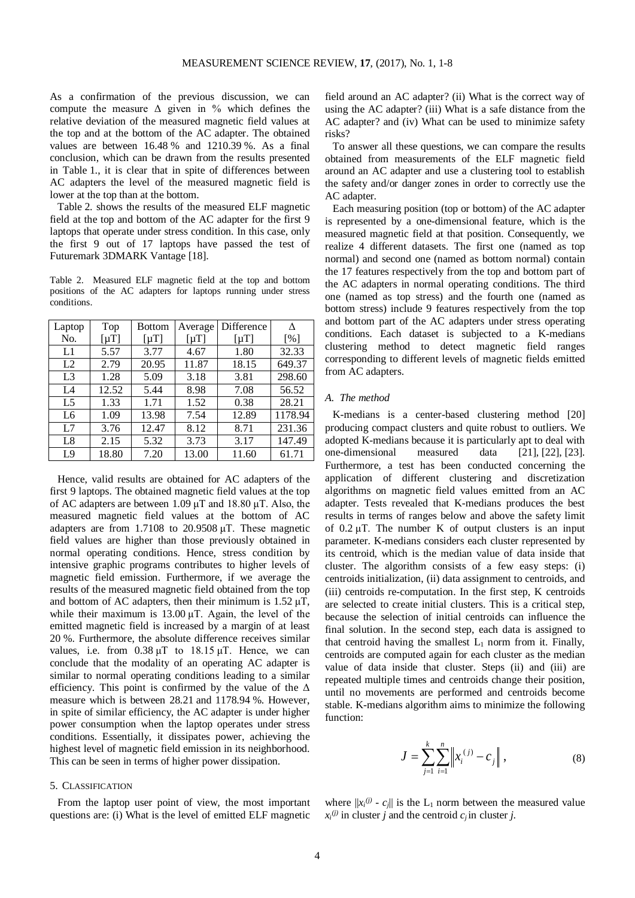As a confirmation of the previous discussion, we can compute the measure  $\Delta$  given in % which defines the relative deviation of the measured magnetic field values at the top and at the bottom of the AC adapter. The obtained values are between 16.48 % and 1210.39 %. As a final conclusion, which can be drawn from the results presented in Table 1., it is clear that in spite of differences between AC adapters the level of the measured magnetic field is lower at the top than at the bottom.

Table 2. shows the results of the measured ELF magnetic field at the top and bottom of the AC adapter for the first 9 laptops that operate under stress condition. In this case, only the first 9 out of 17 laptops have passed the test of Futuremark 3DMARK Vantage [18].

Table 2. Measured ELF magnetic field at the top and bottom positions of the AC adapters for laptops running under stress conditions.

| Laptop         | Top       | <b>Bottom</b> | Average   | Difference |                   |
|----------------|-----------|---------------|-----------|------------|-------------------|
| No.            | $[\mu T]$ | $[\mu T]$     | $[\mu T]$ | $[\mu T]$  | $\lceil\% \rceil$ |
| L1             | 5.57      | 3.77          | 4.67      | 1.80       | 32.33             |
| L2             | 2.79      | 20.95         | 11.87     | 18.15      | 649.37            |
| L <sub>3</sub> | 1.28      | 5.09          | 3.18      | 3.81       | 298.60            |
| L4             | 12.52     | 5.44          | 8.98      | 7.08       | 56.52             |
| L5             | 1.33      | 1.71          | 1.52      | 0.38       | 28.21             |
| L6             | 1.09      | 13.98         | 7.54      | 12.89      | 1178.94           |
| L7             | 3.76      | 12.47         | 8.12      | 8.71       | 231.36            |
| L8             | 2.15      | 5.32          | 3.73      | 3.17       | 147.49            |
| L9             | 18.80     | 7.20          | 13.00     | 11.60      | 61.71             |

Hence, valid results are obtained for AC adapters of the first 9 laptops. The obtained magnetic field values at the top of AC adapters are between 1.09 μT and 18.80 μT. Also, the measured magnetic field values at the bottom of AC adapters are from 1.7108 to 20.9508 μT. These magnetic field values are higher than those previously obtained in normal operating conditions. Hence, stress condition by intensive graphic programs contributes to higher levels of magnetic field emission. Furthermore, if we average the results of the measured magnetic field obtained from the top and bottom of AC adapters, then their minimum is  $1.52 \mu$ T, while their maximum is  $13.00 \mu T$ . Again, the level of the emitted magnetic field is increased by a margin of at least 20 %. Furthermore, the absolute difference receives similar values, i.e. from  $0.38 \mu T$  to  $18.15 \mu T$ . Hence, we can conclude that the modality of an operating AC adapter is similar to normal operating conditions leading to a similar efficiency. This point is confirmed by the value of the  $\Delta$ measure which is between 28.21 and 1178.94 %. However, in spite of similar efficiency, the AC adapter is under higher power consumption when the laptop operates under stress conditions. Essentially, it dissipates power, achieving the highest level of magnetic field emission in its neighborhood. This can be seen in terms of higher power dissipation.

#### 5. CLASSIFICATION

From the laptop user point of view, the most important questions are: (i) What is the level of emitted ELF magnetic

field around an AC adapter? (ii) What is the correct way of using the AC adapter? (iii) What is a safe distance from the AC adapter? and (iv) What can be used to minimize safety risks?

To answer all these questions, we can compare the results obtained from measurements of the ELF magnetic field around an AC adapter and use a clustering tool to establish the safety and/or danger zones in order to correctly use the AC adapter.

Each measuring position (top or bottom) of the AC adapter is represented by a one-dimensional feature, which is the measured magnetic field at that position. Consequently, we realize 4 different datasets. The first one (named as top normal) and second one (named as bottom normal) contain the 17 features respectively from the top and bottom part of the AC adapters in normal operating conditions. The third one (named as top stress) and the fourth one (named as bottom stress) include 9 features respectively from the top and bottom part of the AC adapters under stress operating conditions. Each dataset is subjected to a K-medians clustering method to detect magnetic field ranges corresponding to different levels of magnetic fields emitted from AC adapters.

### *A. The method*

K-medians is a center-based clustering method [20] producing compact clusters and quite robust to outliers. We adopted K-medians because it is particularly apt to deal with one-dimensional measured data [21], [22], [23]. Furthermore, a test has been conducted concerning the application of different clustering and discretization algorithms on magnetic field values emitted from an AC adapter. Tests revealed that K-medians produces the best results in terms of ranges below and above the safety limit of  $0.2 \mu T$ . The number K of output clusters is an input parameter. K-medians considers each cluster represented by its centroid, which is the median value of data inside that cluster. The algorithm consists of a few easy steps: (i) centroids initialization, (ii) data assignment to centroids, and (iii) centroids re-computation. In the first step, K centroids are selected to create initial clusters. This is a critical step, because the selection of initial centroids can influence the final solution. In the second step, each data is assigned to that centroid having the smallest  $L_1$  norm from it. Finally, centroids are computed again for each cluster as the median value of data inside that cluster. Steps (ii) and (iii) are repeated multiple times and centroids change their position, until no movements are performed and centroids become stable. K-medians algorithm aims to minimize the following function:

$$
J = \sum_{j=1}^{k} \sum_{i=1}^{n} \left\| x_i^{(j)} - c_j \right\|,
$$
 (8)

where  $||x_i^{(j)} - c_j||$  is the L<sub>1</sub> norm between the measured value  $x_i^{(j)}$  in cluster *j* and the centroid  $c_j$  in cluster *j*.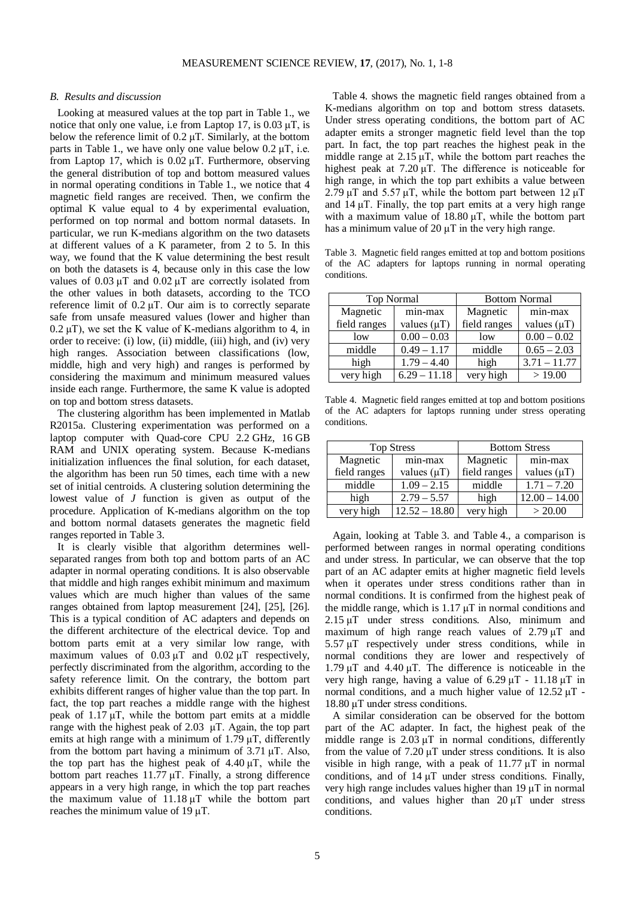#### *B. Results and discussion*

Looking at measured values at the top part in Table 1., we notice that only one value, i.e from Laptop 17, is 0.03 μT, is below the reference limit of 0.2 μT. Similarly, at the bottom parts in Table 1., we have only one value below 0.2 μT, i.e. from Laptop 17, which is  $0.02 \mu$ T. Furthermore, observing the general distribution of top and bottom measured values in normal operating conditions in Table 1., we notice that 4 magnetic field ranges are received. Then, we confirm the optimal K value equal to 4 by experimental evaluation, performed on top normal and bottom normal datasets. In particular, we run K-medians algorithm on the two datasets at different values of a K parameter, from 2 to 5. In this way, we found that the K value determining the best result on both the datasets is 4, because only in this case the low values of 0.03 μT and 0.02 μT are correctly isolated from the other values in both datasets, according to the TCO reference limit of 0.2 μT. Our aim is to correctly separate safe from unsafe measured values (lower and higher than  $0.2 \mu$ T), we set the K value of K-medians algorithm to 4, in order to receive: (i) low, (ii) middle, (iii) high, and (iv) very high ranges. Association between classifications (low, middle, high and very high) and ranges is performed by considering the maximum and minimum measured values inside each range. Furthermore, the same K value is adopted on top and bottom stress datasets.

The clustering algorithm has been implemented in Matlab R2015a. Clustering experimentation was performed on a laptop computer with Quad-core CPU 2.2 GHz, 16 GB RAM and UNIX operating system. Because K-medians initialization influences the final solution, for each dataset, the algorithm has been run 50 times, each time with a new set of initial centroids. A clustering solution determining the lowest value of *J* function is given as output of the procedure. Application of K-medians algorithm on the top and bottom normal datasets generates the magnetic field ranges reported in Table 3.

It is clearly visible that algorithm determines wellseparated ranges from both top and bottom parts of an AC adapter in normal operating conditions. It is also observable that middle and high ranges exhibit minimum and maximum values which are much higher than values of the same ranges obtained from laptop measurement [24], [25], [26]. This is a typical condition of AC adapters and depends on the different architecture of the electrical device. Top and bottom parts emit at a very similar low range, with maximum values of  $0.03 \mu$ T and  $0.02 \mu$ T respectively, perfectly discriminated from the algorithm, according to the safety reference limit. On the contrary, the bottom part exhibits different ranges of higher value than the top part. In fact, the top part reaches a middle range with the highest peak of 1.17 μT, while the bottom part emits at a middle range with the highest peak of 2.03  $\mu$ T. Again, the top part emits at high range with a minimum of 1.79  $\mu$ T, differently from the bottom part having a minimum of 3.71 μT. Also, the top part has the highest peak of 4.40 μT, while the bottom part reaches 11.77 μT. Finally, a strong difference appears in a very high range, in which the top part reaches the maximum value of 11.18 μT while the bottom part reaches the minimum value of 19 μT.

Table 4. shows the magnetic field ranges obtained from a K-medians algorithm on top and bottom stress datasets. Under stress operating conditions, the bottom part of AC adapter emits a stronger magnetic field level than the top part. In fact, the top part reaches the highest peak in the middle range at  $2.15 \mu$ T, while the bottom part reaches the highest peak at 7.20 μT. The difference is noticeable for high range, in which the top part exhibits a value between 2.79 μT and 5.57 μT, while the bottom part between  $12 \mu$ T and  $14 \mu$ T. Finally, the top part emits at a very high range with a maximum value of 18.80 μT, while the bottom part has a minimum value of 20  $\mu$ T in the very high range.

Table 3. Magnetic field ranges emitted at top and bottom positions of the AC adapters for laptops running in normal operating conditions.

| <b>Top Normal</b> |                  | <b>Bottom Normal</b> |                  |  |
|-------------------|------------------|----------------------|------------------|--|
| Magnetic          | min-max          | Magnetic             | min-max          |  |
| field ranges      | values $(\mu T)$ | field ranges         | values $(\mu T)$ |  |
| low               | $0.00 - 0.03$    | low                  | $0.00 - 0.02$    |  |
| middle            | $0.49 - 1.17$    | middle               | $0.65 - 2.03$    |  |
| high              | $1.79 - 4.40$    | high                 | $3.71 - 11.77$   |  |
| very high         | $6.29 - 11.18$   | very high            | >19.00           |  |

Table 4. Magnetic field ranges emitted at top and bottom positions of the AC adapters for laptops running under stress operating conditions.

|              | <b>Top Stress</b> | <b>Bottom Stress</b> |                  |  |
|--------------|-------------------|----------------------|------------------|--|
| Magnetic     | min-max           | Magnetic             | min-max          |  |
| field ranges | values $(\mu T)$  | field ranges         | values $(\mu T)$ |  |
| middle       | $1.09 - 2.15$     | middle               | $1.71 - 7.20$    |  |
| high         | $2.79 - 5.57$     | high                 | $12.00 - 14.00$  |  |
| very high    | $12.52 - 18.80$   | very high            | > 20.00          |  |

Again, looking at Table 3. and Table 4., a comparison is performed between ranges in normal operating conditions and under stress. In particular, we can observe that the top part of an AC adapter emits at higher magnetic field levels when it operates under stress conditions rather than in normal conditions. It is confirmed from the highest peak of the middle range, which is  $1.17 \mu T$  in normal conditions and 2.15 μT under stress conditions. Also, minimum and maximum of high range reach values of 2.79 μT and 5.57 μT respectively under stress conditions, while in normal conditions they are lower and respectively of 1.79 μT and  $4.40 \mu$ T. The difference is noticeable in the very high range, having a value of  $6.29 \mu$ T - 11.18  $\mu$ T in normal conditions, and a much higher value of  $12.52 \mu$ T -18.80 μT under stress conditions.

A similar consideration can be observed for the bottom part of the AC adapter. In fact, the highest peak of the middle range is 2.03 μT in normal conditions, differently from the value of 7.20 μT under stress conditions. It is also visible in high range, with a peak of 11.77 μT in normal conditions, and of  $14 \mu$ T under stress conditions. Finally, very high range includes values higher than 19 μT in normal conditions, and values higher than 20 μT under stress conditions.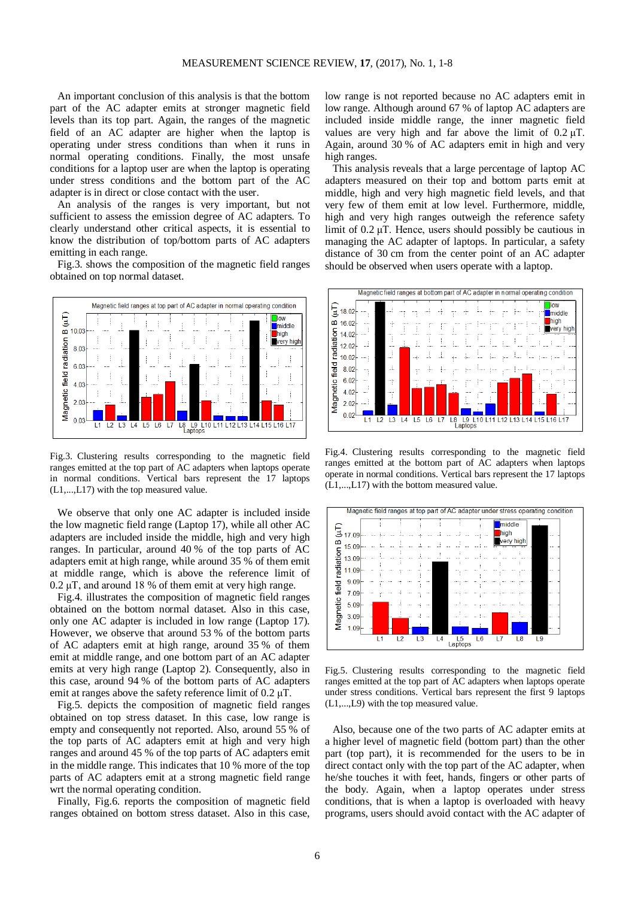An important conclusion of this analysis is that the bottom part of the AC adapter emits at stronger magnetic field levels than its top part. Again, the ranges of the magnetic field of an AC adapter are higher when the laptop is operating under stress conditions than when it runs in normal operating conditions. Finally, the most unsafe conditions for a laptop user are when the laptop is operating under stress conditions and the bottom part of the AC adapter is in direct or close contact with the user.

An analysis of the ranges is very important, but not sufficient to assess the emission degree of AC adapters. To clearly understand other critical aspects, it is essential to know the distribution of top/bottom parts of AC adapters emitting in each range.

Fig.3. shows the composition of the magnetic field ranges obtained on top normal dataset.



Fig.3. Clustering results corresponding to the magnetic field ranges emitted at the top part of AC adapters when laptops operate in normal conditions. Vertical bars represent the 17 laptops (L1,...,L17) with the top measured value.

We observe that only one AC adapter is included inside the low magnetic field range (Laptop 17), while all other AC adapters are included inside the middle, high and very high ranges. In particular, around 40 % of the top parts of AC adapters emit at high range, while around 35 % of them emit at middle range, which is above the reference limit of  $0.2 \mu$ T, and around 18 % of them emit at very high range.

Fig.4. illustrates the composition of magnetic field ranges obtained on the bottom normal dataset. Also in this case, only one AC adapter is included in low range (Laptop 17). However, we observe that around 53 % of the bottom parts of AC adapters emit at high range, around 35 % of them emit at middle range, and one bottom part of an AC adapter emits at very high range (Laptop 2). Consequently, also in this case, around 94 % of the bottom parts of AC adapters emit at ranges above the safety reference limit of 0.2 μT.

Fig.5. depicts the composition of magnetic field ranges obtained on top stress dataset. In this case, low range is empty and consequently not reported. Also, around 55 % of the top parts of AC adapters emit at high and very high ranges and around 45 % of the top parts of AC adapters emit in the middle range. This indicates that 10 % more of the top parts of AC adapters emit at a strong magnetic field range wrt the normal operating condition.

Finally, Fig.6. reports the composition of magnetic field ranges obtained on bottom stress dataset. Also in this case, low range is not reported because no AC adapters emit in low range. Although around 67 % of laptop AC adapters are included inside middle range, the inner magnetic field values are very high and far above the limit of  $0.2 \mu$ T. Again, around 30 % of AC adapters emit in high and very high ranges.

This analysis reveals that a large percentage of laptop AC adapters measured on their top and bottom parts emit at middle, high and very high magnetic field levels, and that very few of them emit at low level. Furthermore, middle, high and very high ranges outweigh the reference safety limit of 0.2 μT. Hence, users should possibly be cautious in managing the AC adapter of laptops. In particular, a safety distance of 30 cm from the center point of an AC adapter should be observed when users operate with a laptop.



Fig.4. Clustering results corresponding to the magnetic field ranges emitted at the bottom part of AC adapters when laptops operate in normal conditions. Vertical bars represent the 17 laptops (L1,...,L17) with the bottom measured value.



Fig.5. Clustering results corresponding to the magnetic field ranges emitted at the top part of AC adapters when laptops operate under stress conditions. Vertical bars represent the first 9 laptops (L1,...,L9) with the top measured value.

Also, because one of the two parts of AC adapter emits at a higher level of magnetic field (bottom part) than the other part (top part), it is recommended for the users to be in direct contact only with the top part of the AC adapter, when he/she touches it with feet, hands, fingers or other parts of the body. Again, when a laptop operates under stress conditions, that is when a laptop is overloaded with heavy programs, users should avoid contact with the AC adapter of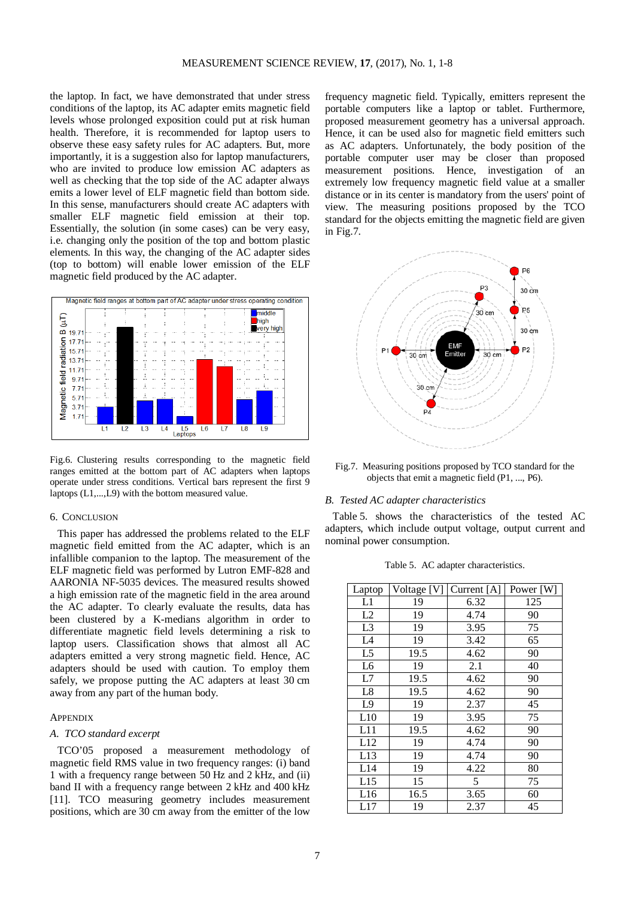the laptop. In fact, we have demonstrated that under stress conditions of the laptop, its AC adapter emits magnetic field levels whose prolonged exposition could put at risk human health. Therefore, it is recommended for laptop users to observe these easy safety rules for AC adapters. But, more importantly, it is a suggestion also for laptop manufacturers, who are invited to produce low emission AC adapters as well as checking that the top side of the AC adapter always emits a lower level of ELF magnetic field than bottom side. In this sense, manufacturers should create AC adapters with smaller ELF magnetic field emission at their top. Essentially, the solution (in some cases) can be very easy, i.e. changing only the position of the top and bottom plastic elements. In this way, the changing of the AC adapter sides (top to bottom) will enable lower emission of the ELF magnetic field produced by the AC adapter.



Fig.6. Clustering results corresponding to the magnetic field ranges emitted at the bottom part of AC adapters when laptops operate under stress conditions. Vertical bars represent the first 9 laptops (L1,...,L9) with the bottom measured value.

## 6. CONCLUSION

This paper has addressed the problems related to the ELF magnetic field emitted from the AC adapter, which is an infallible companion to the laptop. The measurement of the ELF magnetic field was performed by Lutron EMF-828 and AARONIA NF-5035 devices. The measured results showed a high emission rate of the magnetic field in the area around the AC adapter. To clearly evaluate the results, data has been clustered by a K-medians algorithm in order to differentiate magnetic field levels determining a risk to laptop users. Classification shows that almost all AC adapters emitted a very strong magnetic field. Hence, AC adapters should be used with caution. To employ them safely, we propose putting the AC adapters at least 30 cm away from any part of the human body.

#### **APPENDIX**

## *A. TCO standard excerpt*

TCO'05 proposed a measurement methodology of magnetic field RMS value in two frequency ranges: (i) band 1 with a frequency range between 50 Hz and 2 kHz, and (ii) band II with a frequency range between 2 kHz and 400 kHz [11]. TCO measuring geometry includes measurement positions, which are 30 cm away from the emitter of the low

frequency magnetic field. Typically, emitters represent the portable computers like a laptop or tablet. Furthermore, proposed measurement geometry has a universal approach. Hence, it can be used also for magnetic field emitters such as AC adapters. Unfortunately, the body position of the portable computer user may be closer than proposed measurement positions. Hence, investigation of an extremely low frequency magnetic field value at a smaller distance or in its center is mandatory from the users' point of view. The measuring positions proposed by the TCO standard for the objects emitting the magnetic field are given in Fig.7.



Fig.7. Measuring positions proposed by TCO standard for the objects that emit a magnetic field (P1, ..., P6).

# *B. Tested AC adapter characteristics*

Table 5. shows the characteristics of the tested AC adapters, which include output voltage, output current and nominal power consumption.

Table 5. AC adapter characteristics.

| Laptop         | Voltage [V] | Current [A] | Power [W] |
|----------------|-------------|-------------|-----------|
| L1             | 19          | 6.32        | 125       |
| L2             | 19          | 4.74        | 90        |
| L <sub>3</sub> | 19          | 3.95        | 75        |
| L4             | 19          | 3.42        | 65        |
| L <sub>5</sub> | 19.5        | 4.62        | 90        |
| L <sub>6</sub> | 19          | 2.1         | 40        |
| L7             | 19.5        | 4.62        | 90        |
| L <sub>8</sub> | 19.5        | 4.62        | 90        |
| L <sub>9</sub> | 19          | 2.37        | 45        |
| L10            | 19          | 3.95        | 75        |
| L11            | 19.5        | 4.62        | 90        |
| L12            | 19          | 4.74        | 90        |
| L13            | 19          | 4.74        | 90        |
| L14            | 19          | 4.22        | 80        |
| L15            | 15          | 5           | 75        |
| L16            | 16.5        | 3.65        | 60        |
| L17            | 19          | 2.37        | 45        |